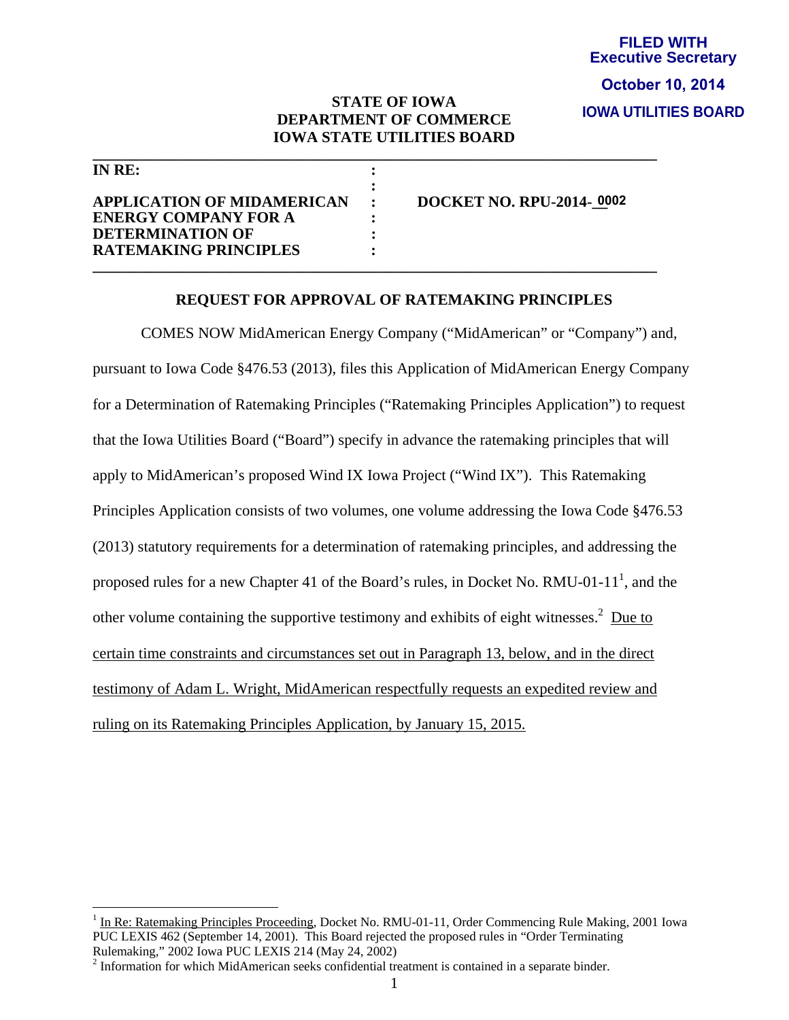## **FILED WITH Executive Secretary IOWA UTILITIES BOARD October 10, 2014**

## **STATE OF IOWA DEPARTMENT OF COMMERCE IOWA STATE UTILITIES BOARD**

**\_\_\_\_\_\_\_\_\_\_\_\_\_\_\_\_\_\_\_\_\_\_\_\_\_\_\_\_\_\_\_\_\_\_\_\_\_\_\_\_\_\_\_\_\_\_\_\_\_\_\_\_\_\_\_\_\_\_\_\_\_\_\_\_\_\_\_\_\_\_\_\_\_** 

| INRE:                                            |                                 |
|--------------------------------------------------|---------------------------------|
| <b>APPLICATION OF MIDAMERICAN</b>                | <b>DOCKET NO. RPU-2014-0002</b> |
| <b>ENERGY COMPANY FOR A</b>                      |                                 |
| DETERMINATION OF<br><b>RATEMAKING PRINCIPLES</b> |                                 |
|                                                  |                                 |

 $\overline{a}$ 

## **REQUEST FOR APPROVAL OF RATEMAKING PRINCIPLES**

COMES NOW MidAmerican Energy Company ("MidAmerican" or "Company") and, pursuant to Iowa Code §476.53 (2013), files this Application of MidAmerican Energy Company for a Determination of Ratemaking Principles ("Ratemaking Principles Application") to request that the Iowa Utilities Board ("Board") specify in advance the ratemaking principles that will apply to MidAmerican's proposed Wind IX Iowa Project ("Wind IX"). This Ratemaking Principles Application consists of two volumes, one volume addressing the Iowa Code §476.53 (2013) statutory requirements for a determination of ratemaking principles, and addressing the proposed rules for a new Chapter 41 of the Board's rules, in Docket No. RMU-01-11<sup>1</sup>, and the other volume containing the supportive testimony and exhibits of eight witnesses. $2$  Due to certain time constraints and circumstances set out in Paragraph 13, below, and in the direct testimony of Adam L. Wright, MidAmerican respectfully requests an expedited review and ruling on its Ratemaking Principles Application, by January 15, 2015.

<sup>&</sup>lt;sup>1</sup> In Re: Ratemaking Principles Proceeding, Docket No. RMU-01-11, Order Commencing Rule Making, 2001 Iowa PUC LEXIS 462 (September 14, 2001). This Board rejected the proposed rules in "Order Terminating Rulemaking," 2002 Iowa PUC LEXIS 214 (May 24, 2002)

 $2$  Information for which MidAmerican seeks confidential treatment is contained in a separate binder.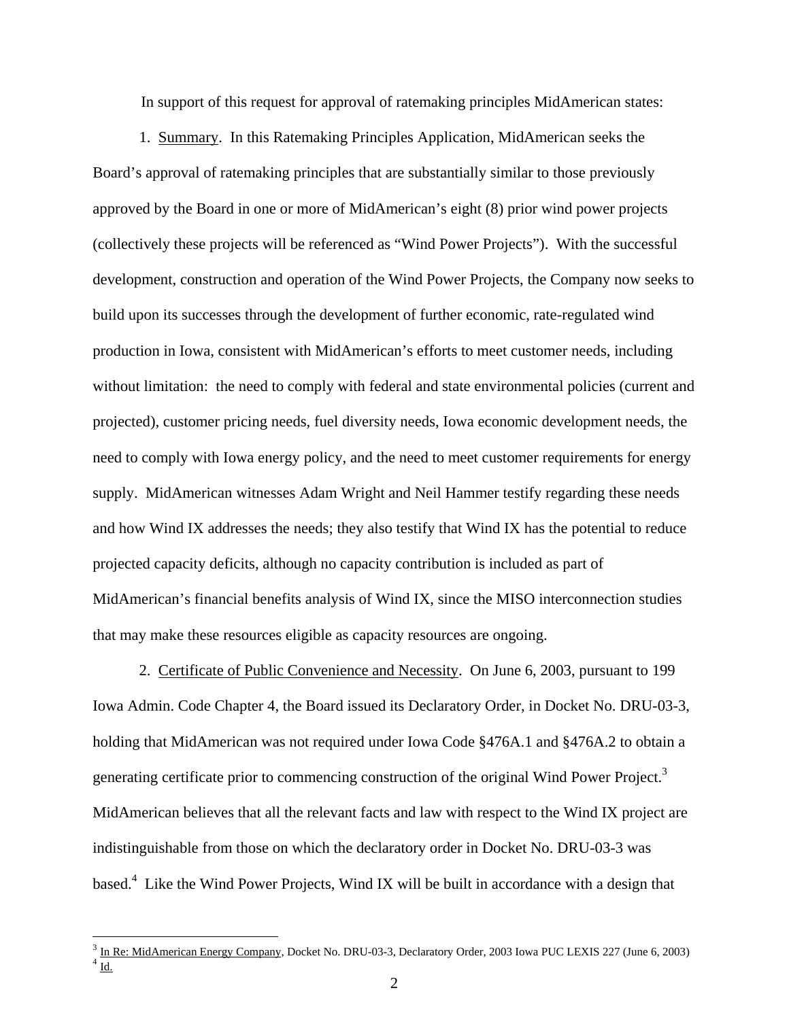In support of this request for approval of ratemaking principles MidAmerican states:

1. Summary. In this Ratemaking Principles Application, MidAmerican seeks the Board's approval of ratemaking principles that are substantially similar to those previously approved by the Board in one or more of MidAmerican's eight (8) prior wind power projects (collectively these projects will be referenced as "Wind Power Projects"). With the successful development, construction and operation of the Wind Power Projects, the Company now seeks to build upon its successes through the development of further economic, rate-regulated wind production in Iowa, consistent with MidAmerican's efforts to meet customer needs, including without limitation: the need to comply with federal and state environmental policies (current and projected), customer pricing needs, fuel diversity needs, Iowa economic development needs, the need to comply with Iowa energy policy, and the need to meet customer requirements for energy supply. MidAmerican witnesses Adam Wright and Neil Hammer testify regarding these needs and how Wind IX addresses the needs; they also testify that Wind IX has the potential to reduce projected capacity deficits, although no capacity contribution is included as part of MidAmerican's financial benefits analysis of Wind IX, since the MISO interconnection studies that may make these resources eligible as capacity resources are ongoing.

2. Certificate of Public Convenience and Necessity. On June 6, 2003, pursuant to 199 Iowa Admin. Code Chapter 4, the Board issued its Declaratory Order, in Docket No. DRU-03-3, holding that MidAmerican was not required under Iowa Code §476A.1 and §476A.2 to obtain a generating certificate prior to commencing construction of the original Wind Power Project.<sup>3</sup> MidAmerican believes that all the relevant facts and law with respect to the Wind IX project are indistinguishable from those on which the declaratory order in Docket No. DRU-03-3 was based.<sup>4</sup> Like the Wind Power Projects, Wind IX will be built in accordance with a design that

 $\overline{a}$ 

 $\frac{3}{4}$  <u>In Re: MidAmerican Energy Company</u>, Docket No. DRU-03-3, Declaratory Order, 2003 Iowa PUC LEXIS 227 (June 6, 2003)<br><sup>4</sup> <u>Id.</u>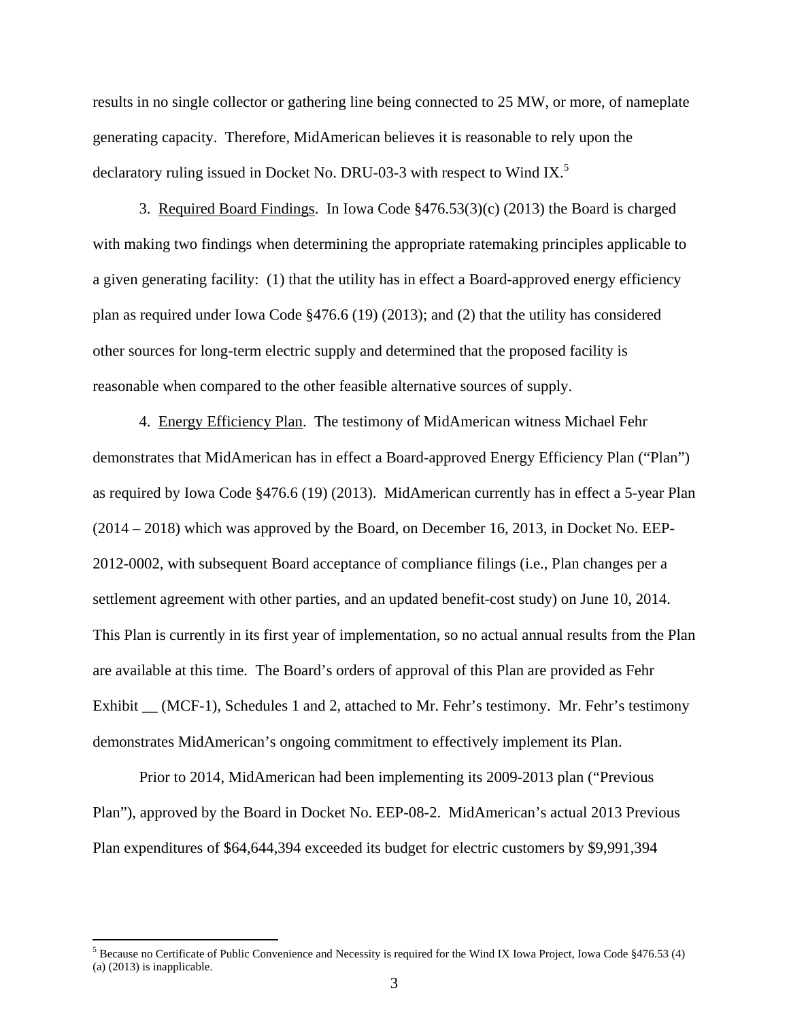results in no single collector or gathering line being connected to 25 MW, or more, of nameplate generating capacity. Therefore, MidAmerican believes it is reasonable to rely upon the declaratory ruling issued in Docket No. DRU-03-3 with respect to Wind IX.<sup>5</sup>

3. Required Board Findings. In Iowa Code §476.53(3)(c) (2013) the Board is charged with making two findings when determining the appropriate ratemaking principles applicable to a given generating facility: (1) that the utility has in effect a Board-approved energy efficiency plan as required under Iowa Code §476.6 (19) (2013); and (2) that the utility has considered other sources for long-term electric supply and determined that the proposed facility is reasonable when compared to the other feasible alternative sources of supply.

4. Energy Efficiency Plan. The testimony of MidAmerican witness Michael Fehr demonstrates that MidAmerican has in effect a Board-approved Energy Efficiency Plan ("Plan") as required by Iowa Code §476.6 (19) (2013). MidAmerican currently has in effect a 5-year Plan (2014 – 2018) which was approved by the Board, on December 16, 2013, in Docket No. EEP-2012-0002, with subsequent Board acceptance of compliance filings (i.e., Plan changes per a settlement agreement with other parties, and an updated benefit-cost study) on June 10, 2014. This Plan is currently in its first year of implementation, so no actual annual results from the Plan are available at this time. The Board's orders of approval of this Plan are provided as Fehr Exhibit \_\_ (MCF-1), Schedules 1 and 2, attached to Mr. Fehr's testimony. Mr. Fehr's testimony demonstrates MidAmerican's ongoing commitment to effectively implement its Plan.

Prior to 2014, MidAmerican had been implementing its 2009-2013 plan ("Previous Plan"), approved by the Board in Docket No. EEP-08-2. MidAmerican's actual 2013 Previous Plan expenditures of \$64,644,394 exceeded its budget for electric customers by \$9,991,394

 $\overline{a}$ 

<sup>&</sup>lt;sup>5</sup> Because no Certificate of Public Convenience and Necessity is required for the Wind IX Iowa Project, Iowa Code  $§476.53$  (4) (a) (2013) is inapplicable.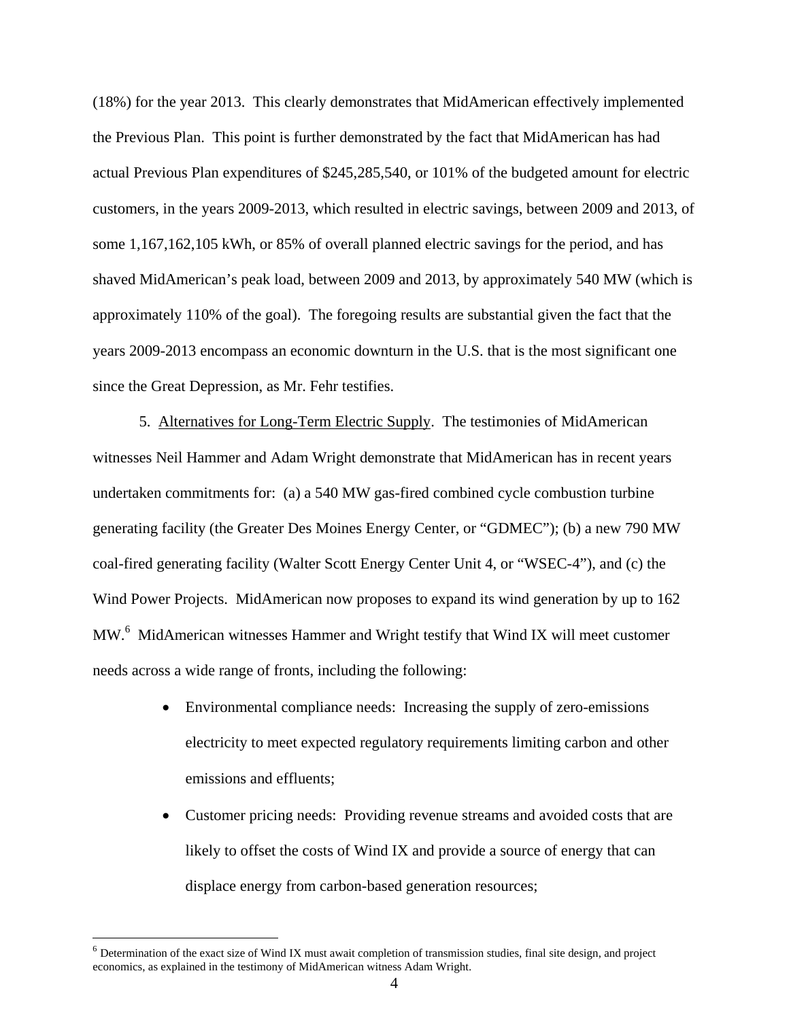(18%) for the year 2013. This clearly demonstrates that MidAmerican effectively implemented the Previous Plan. This point is further demonstrated by the fact that MidAmerican has had actual Previous Plan expenditures of \$245,285,540, or 101% of the budgeted amount for electric customers, in the years 2009-2013, which resulted in electric savings, between 2009 and 2013, of some 1,167,162,105 kWh, or 85% of overall planned electric savings for the period, and has shaved MidAmerican's peak load, between 2009 and 2013, by approximately 540 MW (which is approximately 110% of the goal). The foregoing results are substantial given the fact that the years 2009-2013 encompass an economic downturn in the U.S. that is the most significant one since the Great Depression, as Mr. Fehr testifies.

 5. Alternatives for Long-Term Electric Supply. The testimonies of MidAmerican witnesses Neil Hammer and Adam Wright demonstrate that MidAmerican has in recent years undertaken commitments for: (a) a 540 MW gas-fired combined cycle combustion turbine generating facility (the Greater Des Moines Energy Center, or "GDMEC"); (b) a new 790 MW coal-fired generating facility (Walter Scott Energy Center Unit 4, or "WSEC-4"), and (c) the Wind Power Projects. MidAmerican now proposes to expand its wind generation by up to 162 MW.<sup>6</sup> MidAmerican witnesses Hammer and Wright testify that Wind IX will meet customer needs across a wide range of fronts, including the following:

- Environmental compliance needs: Increasing the supply of zero-emissions electricity to meet expected regulatory requirements limiting carbon and other emissions and effluents;
- Customer pricing needs: Providing revenue streams and avoided costs that are likely to offset the costs of Wind IX and provide a source of energy that can displace energy from carbon-based generation resources;

 $\overline{a}$ 

<sup>6</sup> Determination of the exact size of Wind IX must await completion of transmission studies, final site design, and project economics, as explained in the testimony of MidAmerican witness Adam Wright.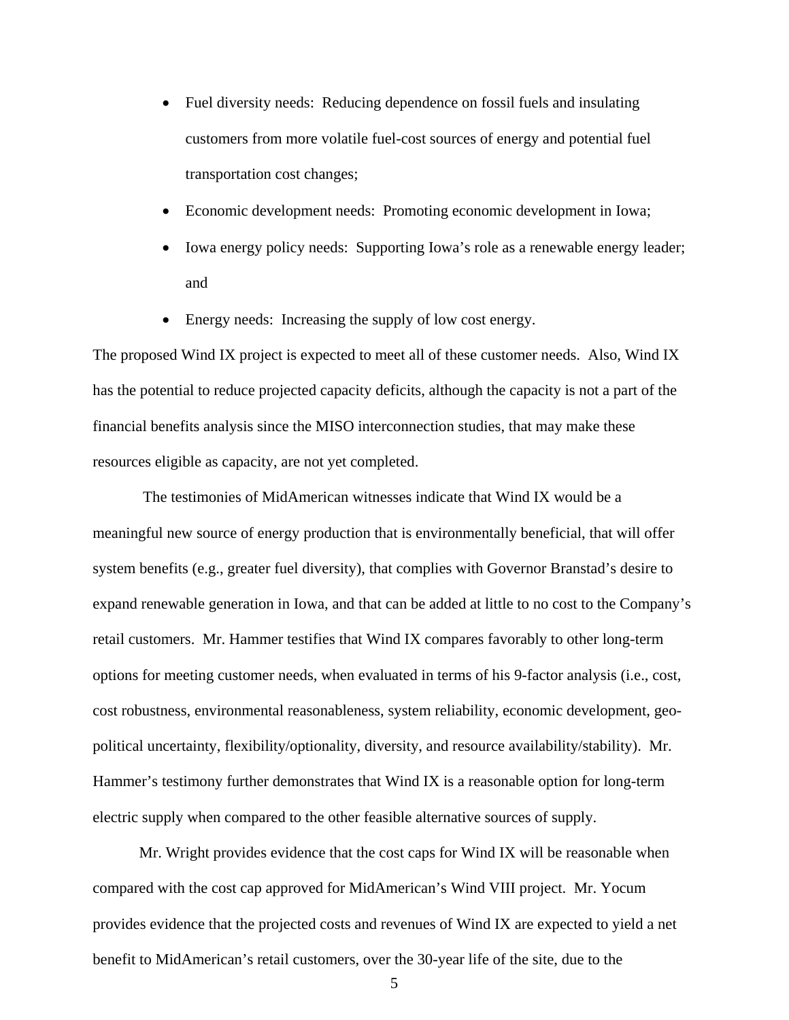- Fuel diversity needs: Reducing dependence on fossil fuels and insulating customers from more volatile fuel-cost sources of energy and potential fuel transportation cost changes;
- Economic development needs: Promoting economic development in Iowa;
- Iowa energy policy needs: Supporting Iowa's role as a renewable energy leader; and
- Energy needs: Increasing the supply of low cost energy.

The proposed Wind IX project is expected to meet all of these customer needs. Also, Wind IX has the potential to reduce projected capacity deficits, although the capacity is not a part of the financial benefits analysis since the MISO interconnection studies, that may make these resources eligible as capacity, are not yet completed.

The testimonies of MidAmerican witnesses indicate that Wind IX would be a meaningful new source of energy production that is environmentally beneficial, that will offer system benefits (e.g., greater fuel diversity), that complies with Governor Branstad's desire to expand renewable generation in Iowa, and that can be added at little to no cost to the Company's retail customers. Mr. Hammer testifies that Wind IX compares favorably to other long-term options for meeting customer needs, when evaluated in terms of his 9-factor analysis (i.e., cost, cost robustness, environmental reasonableness, system reliability, economic development, geopolitical uncertainty, flexibility/optionality, diversity, and resource availability/stability). Mr. Hammer's testimony further demonstrates that Wind IX is a reasonable option for long-term electric supply when compared to the other feasible alternative sources of supply.

Mr. Wright provides evidence that the cost caps for Wind IX will be reasonable when compared with the cost cap approved for MidAmerican's Wind VIII project. Mr. Yocum provides evidence that the projected costs and revenues of Wind IX are expected to yield a net benefit to MidAmerican's retail customers, over the 30-year life of the site, due to the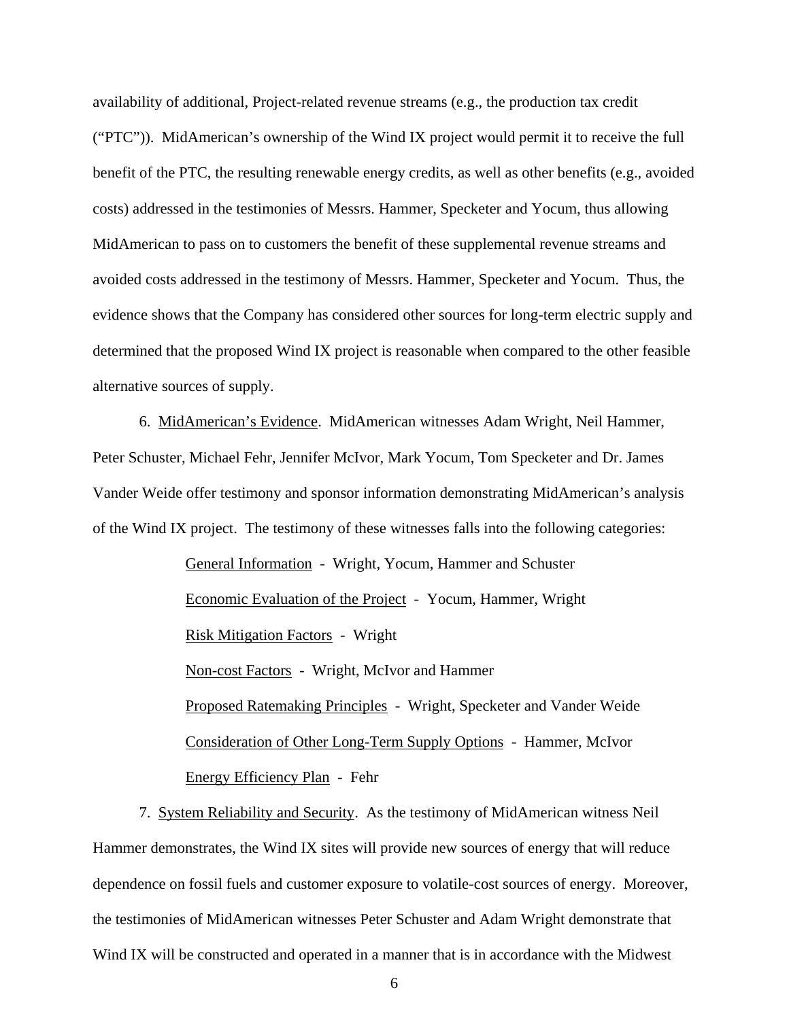availability of additional, Project-related revenue streams (e.g., the production tax credit ("PTC")). MidAmerican's ownership of the Wind IX project would permit it to receive the full benefit of the PTC, the resulting renewable energy credits, as well as other benefits (e.g., avoided costs) addressed in the testimonies of Messrs. Hammer, Specketer and Yocum, thus allowing MidAmerican to pass on to customers the benefit of these supplemental revenue streams and avoided costs addressed in the testimony of Messrs. Hammer, Specketer and Yocum. Thus, the evidence shows that the Company has considered other sources for long-term electric supply and determined that the proposed Wind IX project is reasonable when compared to the other feasible alternative sources of supply.

6. MidAmerican's Evidence. MidAmerican witnesses Adam Wright, Neil Hammer, Peter Schuster, Michael Fehr, Jennifer McIvor, Mark Yocum, Tom Specketer and Dr. James Vander Weide offer testimony and sponsor information demonstrating MidAmerican's analysis of the Wind IX project. The testimony of these witnesses falls into the following categories:

> General Information - Wright, Yocum, Hammer and Schuster Economic Evaluation of the Project - Yocum, Hammer, Wright Risk Mitigation Factors - Wright Non-cost Factors - Wright, McIvor and Hammer Proposed Ratemaking Principles - Wright, Specketer and Vander Weide Consideration of Other Long-Term Supply Options - Hammer, McIvor Energy Efficiency Plan - Fehr

 7. System Reliability and Security. As the testimony of MidAmerican witness Neil Hammer demonstrates, the Wind IX sites will provide new sources of energy that will reduce dependence on fossil fuels and customer exposure to volatile-cost sources of energy. Moreover, the testimonies of MidAmerican witnesses Peter Schuster and Adam Wright demonstrate that Wind IX will be constructed and operated in a manner that is in accordance with the Midwest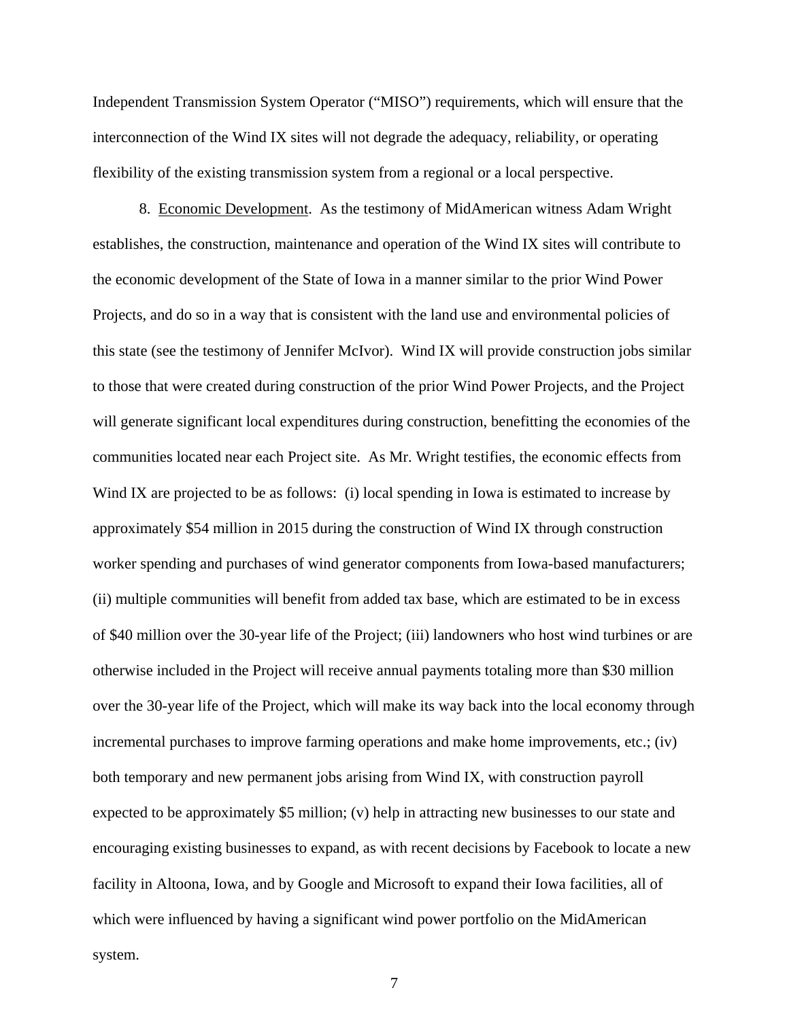Independent Transmission System Operator ("MISO") requirements, which will ensure that the interconnection of the Wind IX sites will not degrade the adequacy, reliability, or operating flexibility of the existing transmission system from a regional or a local perspective.

8. Economic Development. As the testimony of MidAmerican witness Adam Wright establishes, the construction, maintenance and operation of the Wind IX sites will contribute to the economic development of the State of Iowa in a manner similar to the prior Wind Power Projects, and do so in a way that is consistent with the land use and environmental policies of this state (see the testimony of Jennifer McIvor). Wind IX will provide construction jobs similar to those that were created during construction of the prior Wind Power Projects, and the Project will generate significant local expenditures during construction, benefitting the economies of the communities located near each Project site. As Mr. Wright testifies, the economic effects from Wind IX are projected to be as follows: (i) local spending in Iowa is estimated to increase by approximately \$54 million in 2015 during the construction of Wind IX through construction worker spending and purchases of wind generator components from Iowa-based manufacturers; (ii) multiple communities will benefit from added tax base, which are estimated to be in excess of \$40 million over the 30-year life of the Project; (iii) landowners who host wind turbines or are otherwise included in the Project will receive annual payments totaling more than \$30 million over the 30-year life of the Project, which will make its way back into the local economy through incremental purchases to improve farming operations and make home improvements, etc.; (iv) both temporary and new permanent jobs arising from Wind IX, with construction payroll expected to be approximately \$5 million; (v) help in attracting new businesses to our state and encouraging existing businesses to expand, as with recent decisions by Facebook to locate a new facility in Altoona, Iowa, and by Google and Microsoft to expand their Iowa facilities, all of which were influenced by having a significant wind power portfolio on the MidAmerican system.

7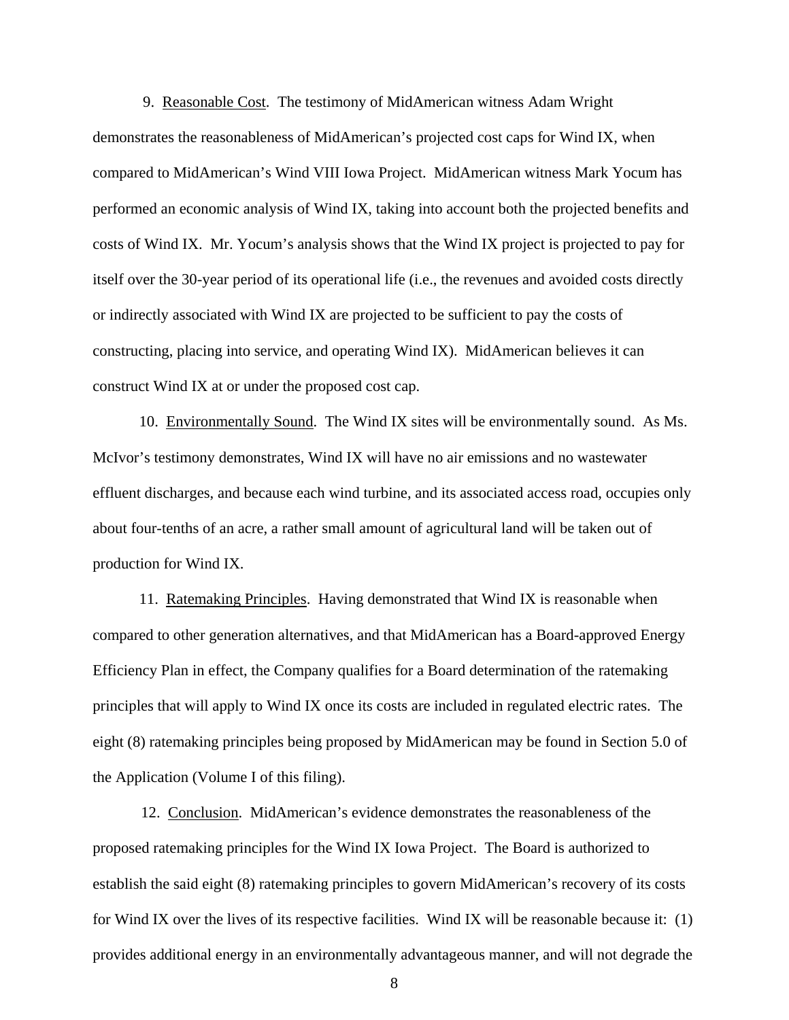9. Reasonable Cost. The testimony of MidAmerican witness Adam Wright demonstrates the reasonableness of MidAmerican's projected cost caps for Wind IX, when compared to MidAmerican's Wind VIII Iowa Project. MidAmerican witness Mark Yocum has performed an economic analysis of Wind IX, taking into account both the projected benefits and costs of Wind IX. Mr. Yocum's analysis shows that the Wind IX project is projected to pay for itself over the 30-year period of its operational life (i.e., the revenues and avoided costs directly or indirectly associated with Wind IX are projected to be sufficient to pay the costs of constructing, placing into service, and operating Wind IX). MidAmerican believes it can construct Wind IX at or under the proposed cost cap.

10. Environmentally Sound. The Wind IX sites will be environmentally sound. As Ms. McIvor's testimony demonstrates, Wind IX will have no air emissions and no wastewater effluent discharges, and because each wind turbine, and its associated access road, occupies only about four-tenths of an acre, a rather small amount of agricultural land will be taken out of production for Wind IX.

11. Ratemaking Principles. Having demonstrated that Wind IX is reasonable when compared to other generation alternatives, and that MidAmerican has a Board-approved Energy Efficiency Plan in effect, the Company qualifies for a Board determination of the ratemaking principles that will apply to Wind IX once its costs are included in regulated electric rates. The eight (8) ratemaking principles being proposed by MidAmerican may be found in Section 5.0 of the Application (Volume I of this filing).

12. Conclusion. MidAmerican's evidence demonstrates the reasonableness of the proposed ratemaking principles for the Wind IX Iowa Project. The Board is authorized to establish the said eight (8) ratemaking principles to govern MidAmerican's recovery of its costs for Wind IX over the lives of its respective facilities. Wind IX will be reasonable because it: (1) provides additional energy in an environmentally advantageous manner, and will not degrade the

8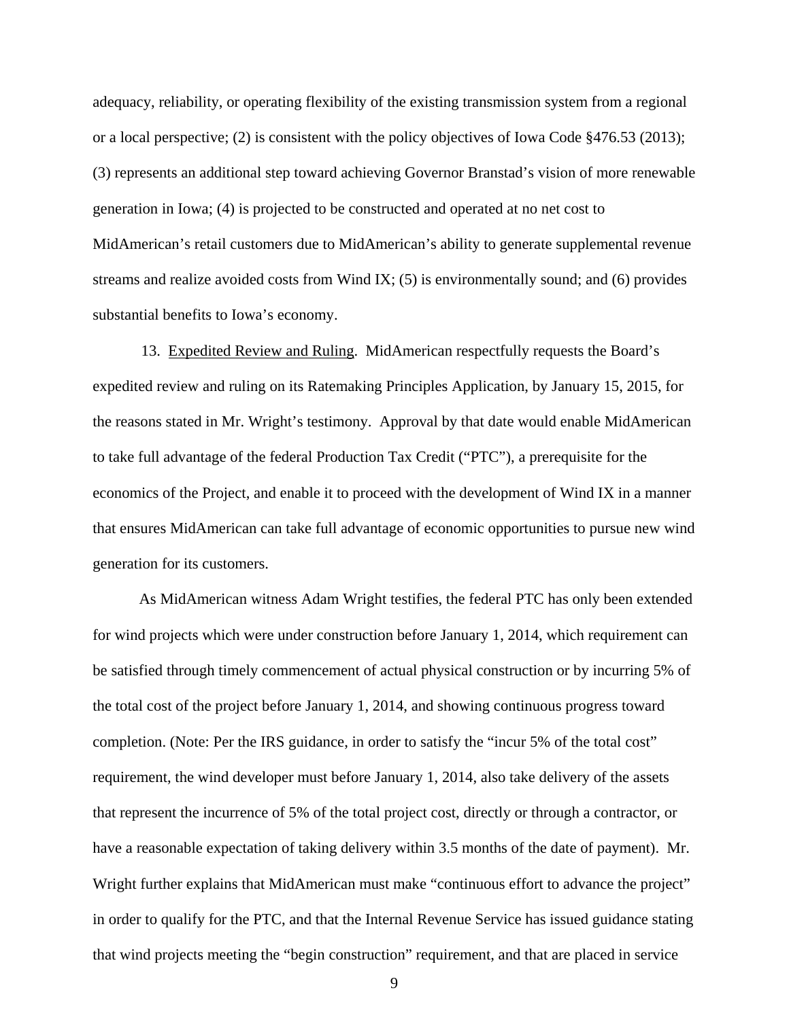adequacy, reliability, or operating flexibility of the existing transmission system from a regional or a local perspective; (2) is consistent with the policy objectives of Iowa Code §476.53 (2013); (3) represents an additional step toward achieving Governor Branstad's vision of more renewable generation in Iowa; (4) is projected to be constructed and operated at no net cost to MidAmerican's retail customers due to MidAmerican's ability to generate supplemental revenue streams and realize avoided costs from Wind IX; (5) is environmentally sound; and (6) provides substantial benefits to Iowa's economy.

 13. Expedited Review and Ruling. MidAmerican respectfully requests the Board's expedited review and ruling on its Ratemaking Principles Application, by January 15, 2015, for the reasons stated in Mr. Wright's testimony. Approval by that date would enable MidAmerican to take full advantage of the federal Production Tax Credit ("PTC"), a prerequisite for the economics of the Project, and enable it to proceed with the development of Wind IX in a manner that ensures MidAmerican can take full advantage of economic opportunities to pursue new wind generation for its customers.

As MidAmerican witness Adam Wright testifies, the federal PTC has only been extended for wind projects which were under construction before January 1, 2014, which requirement can be satisfied through timely commencement of actual physical construction or by incurring 5% of the total cost of the project before January 1, 2014, and showing continuous progress toward completion. (Note: Per the IRS guidance, in order to satisfy the "incur 5% of the total cost" requirement, the wind developer must before January 1, 2014, also take delivery of the assets that represent the incurrence of 5% of the total project cost, directly or through a contractor, or have a reasonable expectation of taking delivery within 3.5 months of the date of payment). Mr. Wright further explains that MidAmerican must make "continuous effort to advance the project" in order to qualify for the PTC, and that the Internal Revenue Service has issued guidance stating that wind projects meeting the "begin construction" requirement, and that are placed in service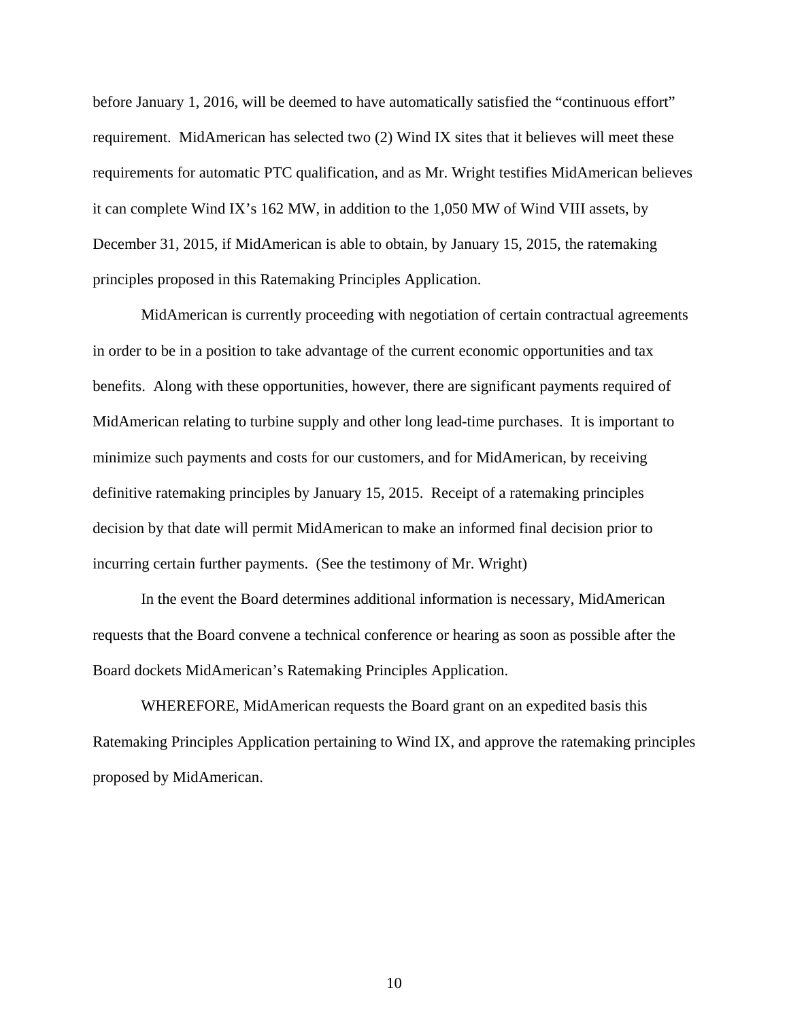before January 1, 2016, will be deemed to have automatically satisfied the "continuous effort" requirement. MidAmerican has selected two (2) Wind IX sites that it believes will meet these requirements for automatic PTC qualification, and as Mr. Wright testifies MidAmerican believes it can complete Wind IX's 162 MW, in addition to the 1,050 MW of Wind VIII assets, by December 31, 2015, if MidAmerican is able to obtain, by January 15, 2015, the ratemaking principles proposed in this Ratemaking Principles Application.

MidAmerican is currently proceeding with negotiation of certain contractual agreements in order to be in a position to take advantage of the current economic opportunities and tax benefits. Along with these opportunities, however, there are significant payments required of MidAmerican relating to turbine supply and other long lead-time purchases. It is important to minimize such payments and costs for our customers, and for MidAmerican, by receiving definitive ratemaking principles by January 15, 2015. Receipt of a ratemaking principles decision by that date will permit MidAmerican to make an informed final decision prior to incurring certain further payments. (See the testimony of Mr. Wright)

In the event the Board determines additional information is necessary, MidAmerican requests that the Board convene a technical conference or hearing as soon as possible after the Board dockets MidAmerican's Ratemaking Principles Application.

WHEREFORE, MidAmerican requests the Board grant on an expedited basis this Ratemaking Principles Application pertaining to Wind IX, and approve the ratemaking principles proposed by MidAmerican.

10